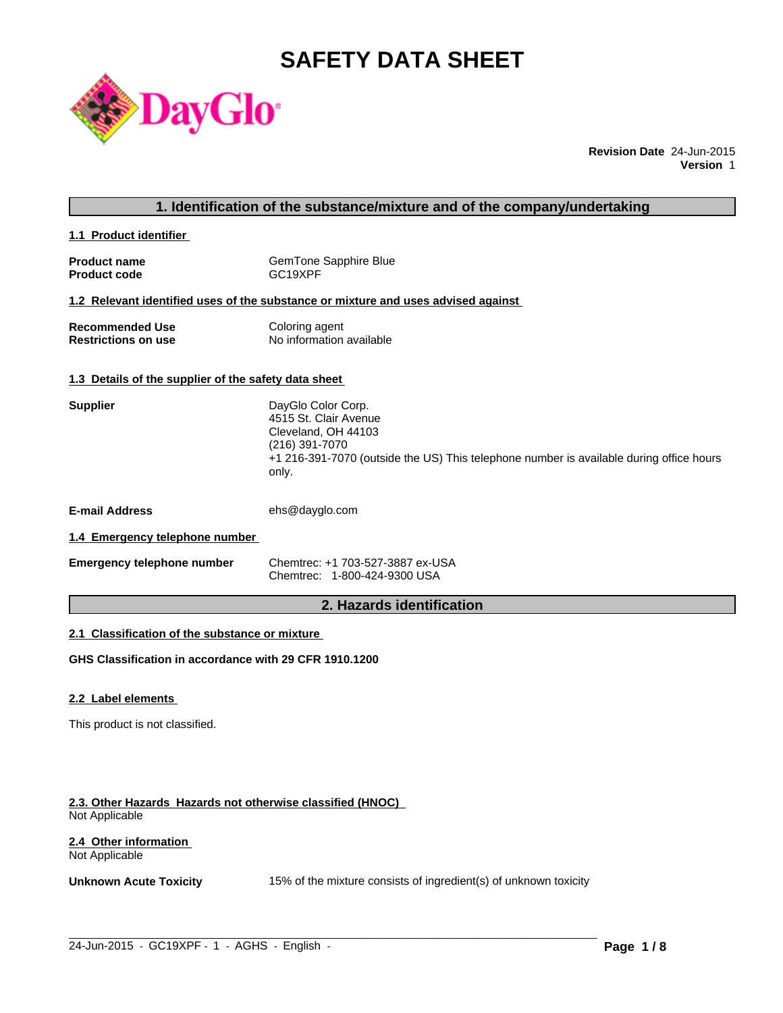# **SAFETY DATA SHEET**



**Revision Date** 24-Jun-2015 **Version** 1

### **1. Identification of the substance/mixture and of the company/undertaking**

**1.1 Product identifier** 

| <b>Product name</b> | GemTone Sapphire Blue |
|---------------------|-----------------------|
| <b>Product code</b> | GC <sub>19</sub> XPF  |

#### **1.2 Relevant identified uses of the substance or mixture and uses advised against**

| <b>Recommended Use</b>     | Coloring agent           |
|----------------------------|--------------------------|
| <b>Restrictions on use</b> | No information available |

#### **1.3 Details of the supplier of the safety data sheet**

| <b>Supplier</b>       | DayGlo Color Corp.<br>4515 St. Clair Avenue<br>Cleveland, OH 44103<br>(216) 391-7070<br>+1 216-391-7070 (outside the US) This telephone number is available during office hours<br>only. |
|-----------------------|------------------------------------------------------------------------------------------------------------------------------------------------------------------------------------------|
| <b>E-mail Address</b> | ehs@dayglo.com                                                                                                                                                                           |
| .                     |                                                                                                                                                                                          |

# **1.4 Emergency telephone number**

| <b>Emergency telephone number</b> | Chemtrec: +1 703-527-3887 ex-USA |
|-----------------------------------|----------------------------------|
|                                   | Chemtrec: 1-800-424-9300 USA     |

# **2. Hazards identification**

### **2.1 Classification of the substance or mixture**

**GHS Classification in accordance with 29 CFR 1910.1200**

#### **2.2 Label elements**

This product is not classified.

#### **2.3. Other Hazards Hazards not otherwise classified (HNOC)**  Not Applicable

#### **2.4 Other information**  Not Applicable

**Unknown Acute Toxicity** 15% of the mixture consists of ingredient(s) of unknown toxicity

 $\_$  ,  $\_$  ,  $\_$  ,  $\_$  ,  $\_$  ,  $\_$  ,  $\_$  ,  $\_$  ,  $\_$  ,  $\_$  ,  $\_$  ,  $\_$  ,  $\_$  ,  $\_$  ,  $\_$  ,  $\_$  ,  $\_$  ,  $\_$  ,  $\_$  ,  $\_$  ,  $\_$  ,  $\_$  ,  $\_$  ,  $\_$  ,  $\_$  ,  $\_$  ,  $\_$  ,  $\_$  ,  $\_$  ,  $\_$  ,  $\_$  ,  $\_$  ,  $\_$  ,  $\_$  ,  $\_$  ,  $\_$  ,  $\_$  ,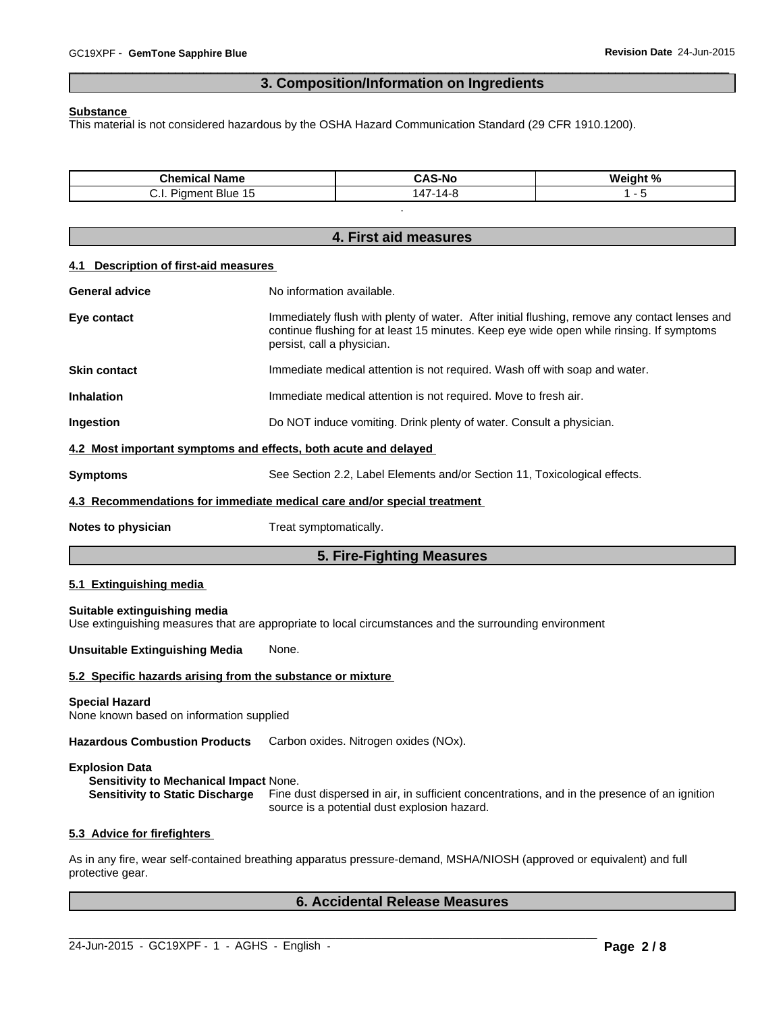# **3. Composition/Information on Ingredients**

 $\overline{\phantom{a}}$  ,  $\overline{\phantom{a}}$  ,  $\overline{\phantom{a}}$  ,  $\overline{\phantom{a}}$  ,  $\overline{\phantom{a}}$  ,  $\overline{\phantom{a}}$  ,  $\overline{\phantom{a}}$  ,  $\overline{\phantom{a}}$  ,  $\overline{\phantom{a}}$  ,  $\overline{\phantom{a}}$  ,  $\overline{\phantom{a}}$  ,  $\overline{\phantom{a}}$  ,  $\overline{\phantom{a}}$  ,  $\overline{\phantom{a}}$  ,  $\overline{\phantom{a}}$  ,  $\overline{\phantom{a}}$ 

#### **Substance**

This material is not considered hazardous by the OSHA Hazard Communication Standard (29 CFR 1910.1200).

| Chem<br>Name<br>nical                   | $\Lambda$ C<br><b>CAS-No</b> | <br>$\sim$ 0/<br>Weint<br>, , |
|-----------------------------------------|------------------------------|-------------------------------|
| → Blue …<br>$\mathbf{r}$<br>uner:<br>◡… | ٠л.                          |                               |

.

|                                                                   | 4. First aid measures                                                                                                                                                                                                   |  |  |  |  |  |
|-------------------------------------------------------------------|-------------------------------------------------------------------------------------------------------------------------------------------------------------------------------------------------------------------------|--|--|--|--|--|
| <b>Description of first-aid measures</b><br>4.1                   |                                                                                                                                                                                                                         |  |  |  |  |  |
| <b>General advice</b>                                             | No information available.                                                                                                                                                                                               |  |  |  |  |  |
| Eye contact                                                       | Immediately flush with plenty of water. After initial flushing, remove any contact lenses and<br>continue flushing for at least 15 minutes. Keep eye wide open while rinsing. If symptoms<br>persist, call a physician. |  |  |  |  |  |
| <b>Skin contact</b>                                               | Immediate medical attention is not required. Wash off with soap and water.                                                                                                                                              |  |  |  |  |  |
| <b>Inhalation</b>                                                 | Immediate medical attention is not required. Move to fresh air.                                                                                                                                                         |  |  |  |  |  |
| Ingestion                                                         | Do NOT induce vomiting. Drink plenty of water. Consult a physician.                                                                                                                                                     |  |  |  |  |  |
| 4.2 Most important symptoms and effects, both acute and delayed   |                                                                                                                                                                                                                         |  |  |  |  |  |
| <b>Symptoms</b>                                                   | See Section 2.2, Label Elements and/or Section 11, Toxicological effects.                                                                                                                                               |  |  |  |  |  |
|                                                                   | 4.3 Recommendations for immediate medical care and/or special treatment                                                                                                                                                 |  |  |  |  |  |
| Notes to physician                                                | Treat symptomatically.                                                                                                                                                                                                  |  |  |  |  |  |
|                                                                   | 5. Fire-Fighting Measures                                                                                                                                                                                               |  |  |  |  |  |
| 5.1 Extinguishing media                                           |                                                                                                                                                                                                                         |  |  |  |  |  |
| Suitable extinguishing media                                      | Use extinguishing measures that are appropriate to local circumstances and the surrounding environment                                                                                                                  |  |  |  |  |  |
| <b>Unsuitable Extinguishing Media</b>                             | None.                                                                                                                                                                                                                   |  |  |  |  |  |
| 5.2 Specific hazards arising from the substance or mixture        |                                                                                                                                                                                                                         |  |  |  |  |  |
| <b>Special Hazard</b><br>None known based on information supplied |                                                                                                                                                                                                                         |  |  |  |  |  |
| <b>Hazardous Combustion Products</b>                              | Carbon oxides. Nitrogen oxides (NOx).                                                                                                                                                                                   |  |  |  |  |  |
| <b>Explosion Data</b><br>Sensitivity to Mechanical Impact None.   | Sensitivity to Static Discharge Fine dust dispersed in air, in sufficient concentrations, and in the presence of an ignition<br>source is a potential dust explosion hazard.                                            |  |  |  |  |  |
| 5.3 Advice for firefighters                                       |                                                                                                                                                                                                                         |  |  |  |  |  |
| protective gear.                                                  | As in any fire, wear self-contained breathing apparatus pressure-demand, MSHA/NIOSH (approved or equivalent) and full                                                                                                   |  |  |  |  |  |
|                                                                   | <b>6. Accidental Release Measures</b>                                                                                                                                                                                   |  |  |  |  |  |

 $\_$  ,  $\_$  ,  $\_$  ,  $\_$  ,  $\_$  ,  $\_$  ,  $\_$  ,  $\_$  ,  $\_$  ,  $\_$  ,  $\_$  ,  $\_$  ,  $\_$  ,  $\_$  ,  $\_$  ,  $\_$  ,  $\_$  ,  $\_$  ,  $\_$  ,  $\_$  ,  $\_$  ,  $\_$  ,  $\_$  ,  $\_$  ,  $\_$  ,  $\_$  ,  $\_$  ,  $\_$  ,  $\_$  ,  $\_$  ,  $\_$  ,  $\_$  ,  $\_$  ,  $\_$  ,  $\_$  ,  $\_$  ,  $\_$  ,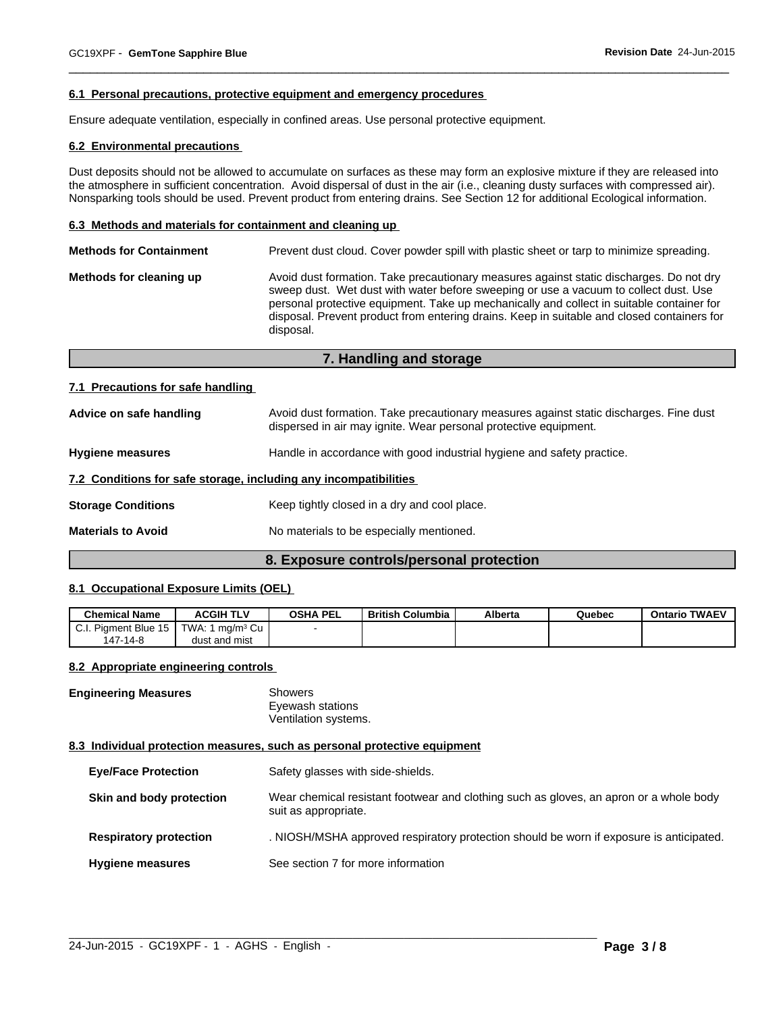#### **6.1 Personal precautions, protective equipment and emergency procedures**

Ensure adequate ventilation, especially in confined areas. Use personal protective equipment.

#### **6.2 Environmental precautions**

Dust deposits should not be allowed to accumulate on surfaces as these may form an explosive mixture if they are released into the atmosphere in sufficient concentration. Avoid dispersal of dust in the air (i.e., cleaning dusty surfaces with compressed air). Nonsparking tools should be used. Prevent product from entering drains. See Section 12 for additional Ecological information.

 $\overline{\phantom{a}}$  ,  $\overline{\phantom{a}}$  ,  $\overline{\phantom{a}}$  ,  $\overline{\phantom{a}}$  ,  $\overline{\phantom{a}}$  ,  $\overline{\phantom{a}}$  ,  $\overline{\phantom{a}}$  ,  $\overline{\phantom{a}}$  ,  $\overline{\phantom{a}}$  ,  $\overline{\phantom{a}}$  ,  $\overline{\phantom{a}}$  ,  $\overline{\phantom{a}}$  ,  $\overline{\phantom{a}}$  ,  $\overline{\phantom{a}}$  ,  $\overline{\phantom{a}}$  ,  $\overline{\phantom{a}}$ 

#### **6.3 Methods and materials for containment and cleaning up**

| <b>Methods for Containment</b> |                                                                                                                                                                                                                                                                                                                                                                                         |
|--------------------------------|-----------------------------------------------------------------------------------------------------------------------------------------------------------------------------------------------------------------------------------------------------------------------------------------------------------------------------------------------------------------------------------------|
| Methods for cleaning up        | Avoid dust formation. Take precautionary measures against static discharges. Do not dry<br>sweep dust. Wet dust with water before sweeping or use a vacuum to collect dust. Use<br>personal protective equipment. Take up mechanically and collect in suitable container for<br>disposal. Prevent product from entering drains. Keep in suitable and closed containers for<br>disposal. |

# **7. Handling and storage**

#### **7.1 Precautions for safe handling**

| Advice on safe handling   | Avoid dust formation. Take precautionary measures against static discharges. Fine dust<br>dispersed in air may ignite. Wear personal protective equipment. |  |  |  |
|---------------------------|------------------------------------------------------------------------------------------------------------------------------------------------------------|--|--|--|
| <b>Hygiene measures</b>   | Handle in accordance with good industrial hygiene and safety practice.                                                                                     |  |  |  |
|                           | 7.2 Conditions for safe storage, including any incompatibilities                                                                                           |  |  |  |
| <b>Storage Conditions</b> | Keep tightly closed in a dry and cool place.                                                                                                               |  |  |  |
| <b>Materials to Avoid</b> | No materials to be especially mentioned.                                                                                                                   |  |  |  |
|                           |                                                                                                                                                            |  |  |  |

#### **8. Exposure controls/personal protection**

#### **8.1 Occupational Exposure Limits (OEL)**

| <b>Chemical Name</b>                  | <b>ACGIH TLV</b>     | <b>OSHA PEL</b> | <b>British Columbia</b> | <b>Alberta</b> | Quebec | <b>Ontario TWAEV</b> |
|---------------------------------------|----------------------|-----------------|-------------------------|----------------|--------|----------------------|
| $\sim$<br>. Piament Blue 15<br>ا الیک | TWA: L<br>∣ma/mª Cu∣ |                 |                         |                |        |                      |
| 147-14-8                              | dust and mist        |                 |                         |                |        |                      |

#### **8.2 Appropriate engineering controls**

**Engineering Measures** Showers Eyewash stations Ventilation systems.

#### **8.3 Individual protection measures, such as personal protective equipment**

| <b>Eye/Face Protection</b>    | Safety glasses with side-shields.                                                                              |
|-------------------------------|----------------------------------------------------------------------------------------------------------------|
| Skin and body protection      | Wear chemical resistant footwear and clothing such as gloves, an apron or a whole body<br>suit as appropriate. |
| <b>Respiratory protection</b> | . NIOSH/MSHA approved respiratory protection should be worn if exposure is anticipated.                        |
| <b>Hygiene measures</b>       | See section 7 for more information                                                                             |

 $\_$  ,  $\_$  ,  $\_$  ,  $\_$  ,  $\_$  ,  $\_$  ,  $\_$  ,  $\_$  ,  $\_$  ,  $\_$  ,  $\_$  ,  $\_$  ,  $\_$  ,  $\_$  ,  $\_$  ,  $\_$  ,  $\_$  ,  $\_$  ,  $\_$  ,  $\_$  ,  $\_$  ,  $\_$  ,  $\_$  ,  $\_$  ,  $\_$  ,  $\_$  ,  $\_$  ,  $\_$  ,  $\_$  ,  $\_$  ,  $\_$  ,  $\_$  ,  $\_$  ,  $\_$  ,  $\_$  ,  $\_$  ,  $\_$  ,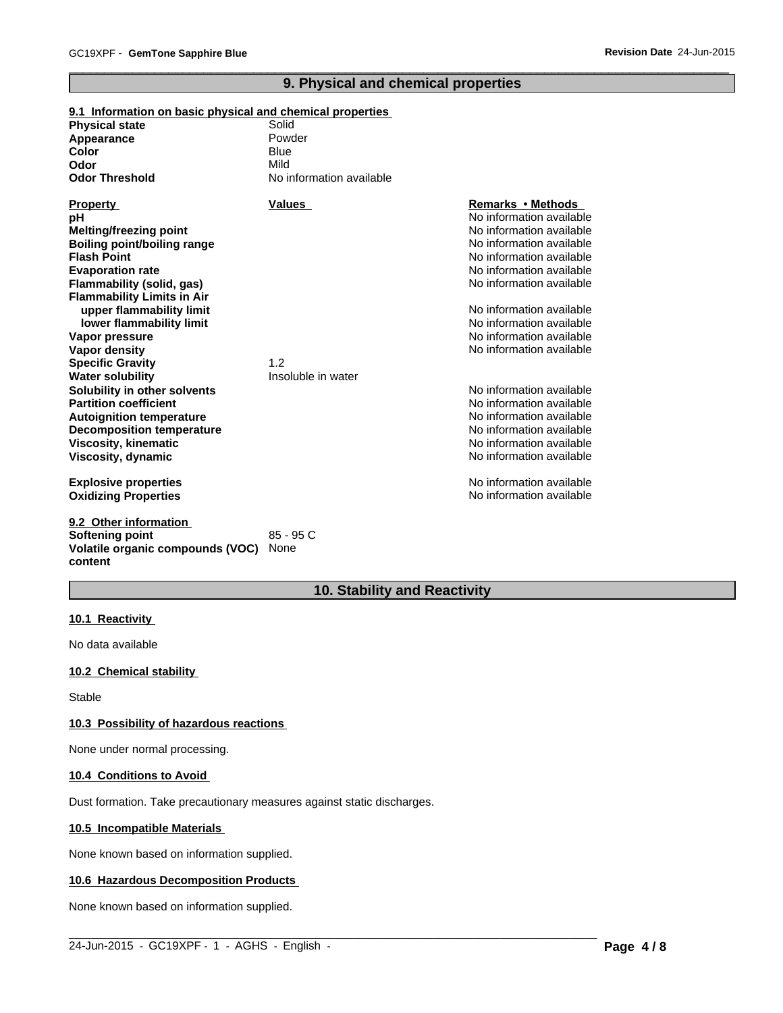# **9. Physical and chemical properties**

 $\overline{\phantom{a}}$  ,  $\overline{\phantom{a}}$  ,  $\overline{\phantom{a}}$  ,  $\overline{\phantom{a}}$  ,  $\overline{\phantom{a}}$  ,  $\overline{\phantom{a}}$  ,  $\overline{\phantom{a}}$  ,  $\overline{\phantom{a}}$  ,  $\overline{\phantom{a}}$  ,  $\overline{\phantom{a}}$  ,  $\overline{\phantom{a}}$  ,  $\overline{\phantom{a}}$  ,  $\overline{\phantom{a}}$  ,  $\overline{\phantom{a}}$  ,  $\overline{\phantom{a}}$  ,  $\overline{\phantom{a}}$ 

#### **9.1 Information on basic physical and chemical properties**

| <b>Physical state</b>              | Solid                    |                          |
|------------------------------------|--------------------------|--------------------------|
| Appearance                         | Powder                   |                          |
| Color                              | Blue                     |                          |
| Odor                               | Mild                     |                          |
| <b>Odor Threshold</b>              | No information available |                          |
| <b>Property</b>                    | <b>Values</b>            | Remarks • Methods        |
| рH                                 |                          | No information available |
| Melting/freezing point             |                          | No information available |
| <b>Boiling point/boiling range</b> |                          | No information available |
| <b>Flash Point</b>                 |                          | No information available |
| <b>Evaporation rate</b>            |                          | No information available |
| Flammability (solid, gas)          |                          | No information available |
| <b>Flammability Limits in Air</b>  |                          |                          |
| upper flammability limit           |                          | No information available |
| lower flammability limit           |                          | No information available |
| Vapor pressure                     |                          | No information available |
| Vapor density                      |                          | No information available |
| <b>Specific Gravity</b>            | 1.2                      |                          |
| <b>Water solubility</b>            | Insoluble in water       |                          |
| Solubility in other solvents       |                          | No information available |
| <b>Partition coefficient</b>       |                          | No information available |
| <b>Autoignition temperature</b>    |                          | No information available |
| <b>Decomposition temperature</b>   |                          | No information available |
| <b>Viscosity, kinematic</b>        |                          | No information available |
| Viscosity, dynamic                 |                          | No information available |
| <b>Explosive properties</b>        |                          | No information available |
| <b>Oxidizing Properties</b>        |                          | No information available |
| 9.2 Other information              |                          |                          |
| <b>Softening point</b>             | $85 - 95C$               |                          |
| Volatile organic compounds (VOC)   | None                     |                          |

# **10. Stability and Reactivity**

 $\_$  ,  $\_$  ,  $\_$  ,  $\_$  ,  $\_$  ,  $\_$  ,  $\_$  ,  $\_$  ,  $\_$  ,  $\_$  ,  $\_$  ,  $\_$  ,  $\_$  ,  $\_$  ,  $\_$  ,  $\_$  ,  $\_$  ,  $\_$  ,  $\_$  ,  $\_$  ,  $\_$  ,  $\_$  ,  $\_$  ,  $\_$  ,  $\_$  ,  $\_$  ,  $\_$  ,  $\_$  ,  $\_$  ,  $\_$  ,  $\_$  ,  $\_$  ,  $\_$  ,  $\_$  ,  $\_$  ,  $\_$  ,  $\_$  ,

#### **10.1 Reactivity**

No data available

#### **10.2 Chemical stability**

Stable

**content**

#### **10.3 Possibility of hazardous reactions**

None under normal processing.

#### **10.4 Conditions to Avoid**

Dust formation. Take precautionary measures against static discharges.

#### **10.5 Incompatible Materials**

None known based on information supplied.

#### **10.6 Hazardous Decomposition Products**

None known based on information supplied.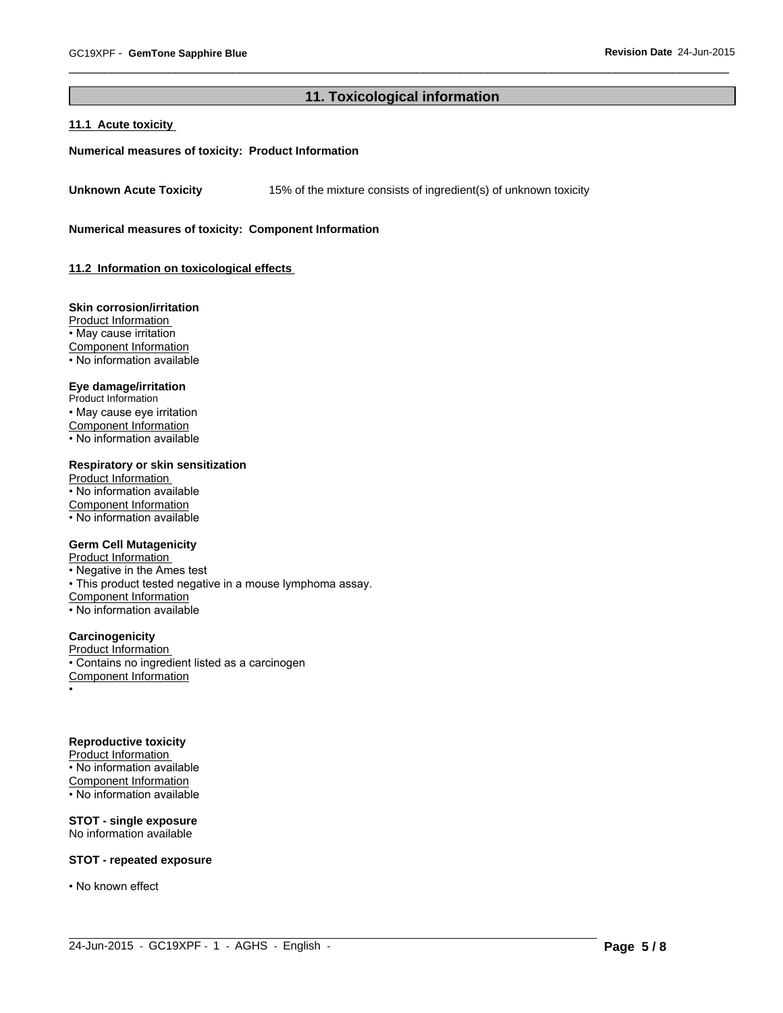# **11. Toxicological information**

 $\_$  ,  $\_$  ,  $\_$  ,  $\_$  ,  $\_$  ,  $\_$  ,  $\_$  ,  $\_$  ,  $\_$  ,  $\_$  ,  $\_$  ,  $\_$  ,  $\_$  ,  $\_$  ,  $\_$  ,  $\_$  ,  $\_$  ,  $\_$  ,  $\_$  ,  $\_$  ,  $\_$  ,  $\_$  ,  $\_$  ,  $\_$  ,  $\_$  ,  $\_$  ,  $\_$  ,  $\_$  ,  $\_$  ,  $\_$  ,  $\_$  ,  $\_$  ,  $\_$  ,  $\_$  ,  $\_$  ,  $\_$  ,  $\_$  ,

 $\overline{\phantom{a}}$  ,  $\overline{\phantom{a}}$  ,  $\overline{\phantom{a}}$  ,  $\overline{\phantom{a}}$  ,  $\overline{\phantom{a}}$  ,  $\overline{\phantom{a}}$  ,  $\overline{\phantom{a}}$  ,  $\overline{\phantom{a}}$  ,  $\overline{\phantom{a}}$  ,  $\overline{\phantom{a}}$  ,  $\overline{\phantom{a}}$  ,  $\overline{\phantom{a}}$  ,  $\overline{\phantom{a}}$  ,  $\overline{\phantom{a}}$  ,  $\overline{\phantom{a}}$  ,  $\overline{\phantom{a}}$ 

#### **11.1 Acute toxicity**

#### **Numerical measures of toxicity: Product Information**

**Unknown Acute Toxicity** 15% of the mixture consists of ingredient(s) of unknown toxicity

**Numerical measures of toxicity: Component Information**

**11.2 Information on toxicological effects** 

#### **Skin corrosion/irritation**

Product Information • May cause irritation Component Information • No information available

#### **Eye damage/irritation**

Product Information • May cause eye irritation Component Information

• No information available

#### **Respiratory or skin sensitization**

Product Information • No information available Component Information • No information available

#### **Germ Cell Mutagenicity**

Product Information

• Negative in the Ames test

• This product tested negative in a mouse lymphoma assay.

Component Information

• No information available

#### **Carcinogenicity**

Product Information

• Contains no ingredient listed as a carcinogen

Component Information

•

## **Reproductive toxicity**

Product Information • No information available Component Information

• No information available

# **STOT - single exposure**

No information available

#### **STOT - repeated exposure**

• No known effect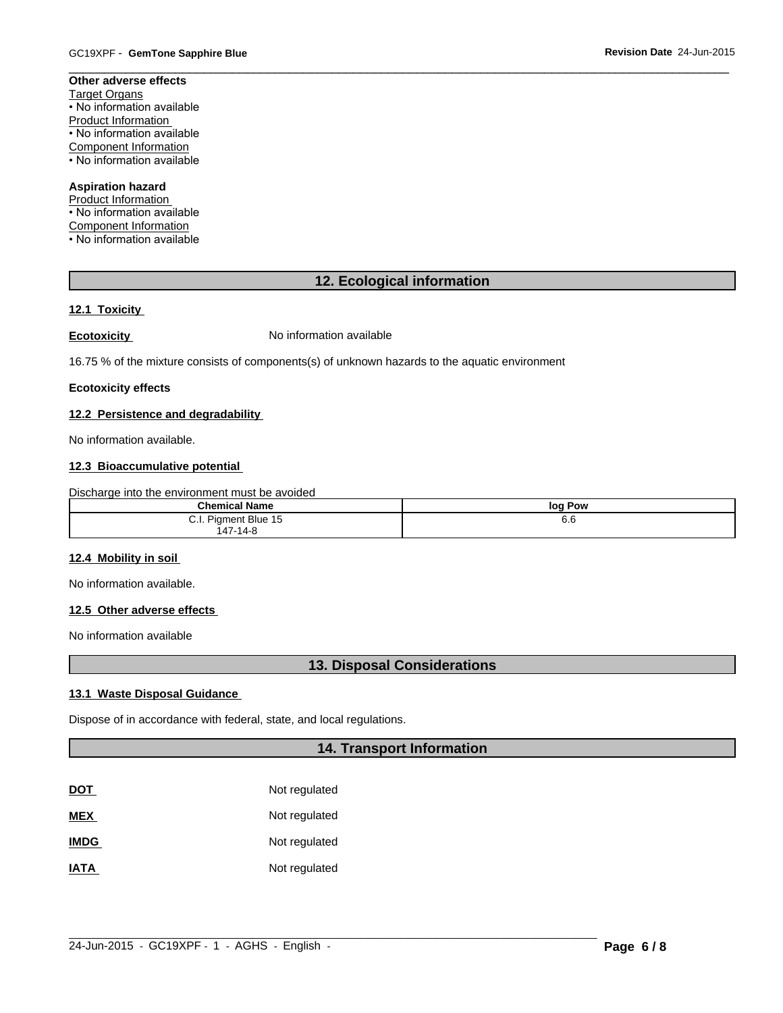# **Other adverse effects**

Target Organs • No information available Product Information • No information available Component Information • No information available

# **Aspiration hazard**

Product Information • No information available Component Information • No information available

# **12. Ecological information**

 $\overline{\phantom{a}}$  ,  $\overline{\phantom{a}}$  ,  $\overline{\phantom{a}}$  ,  $\overline{\phantom{a}}$  ,  $\overline{\phantom{a}}$  ,  $\overline{\phantom{a}}$  ,  $\overline{\phantom{a}}$  ,  $\overline{\phantom{a}}$  ,  $\overline{\phantom{a}}$  ,  $\overline{\phantom{a}}$  ,  $\overline{\phantom{a}}$  ,  $\overline{\phantom{a}}$  ,  $\overline{\phantom{a}}$  ,  $\overline{\phantom{a}}$  ,  $\overline{\phantom{a}}$  ,  $\overline{\phantom{a}}$ 

# **12.1 Toxicity**

**Ecotoxicity No information available** 

16.75 % of the mixture consists of components(s) of unknown hazards to the aquatic environment

#### **Ecotoxicity effects**

#### **12.2 Persistence and degradability**

No information available.

### **12.3 Bioaccumulative potential**

Discharge into the environment must be avoided

| Chamica.                                                                                                                | loa        |
|-------------------------------------------------------------------------------------------------------------------------|------------|
| Name                                                                                                                    | Pow        |
| <b>Blue</b><br>$\cdot$ $-$<br>$\cdots$<br>. .<br>- 132<br>$\mathbf{v}$<br>$\sim$<br>$\cdot$<br>$\overline{\phantom{a}}$ | c c<br>o.o |

# **12.4 Mobility in soil**

No information available.

#### **12.5 Other adverse effects**

No information available

## **13. Disposal Considerations**

## **13.1 Waste Disposal Guidance**

Dispose of in accordance with federal, state, and local regulations.

### **14. Transport Information**

| <b>DOT</b>  | Not regulated |
|-------------|---------------|
| <b>MEX</b>  | Not regulated |
| <b>IMDG</b> | Not regulated |
| <b>IATA</b> | Not regulated |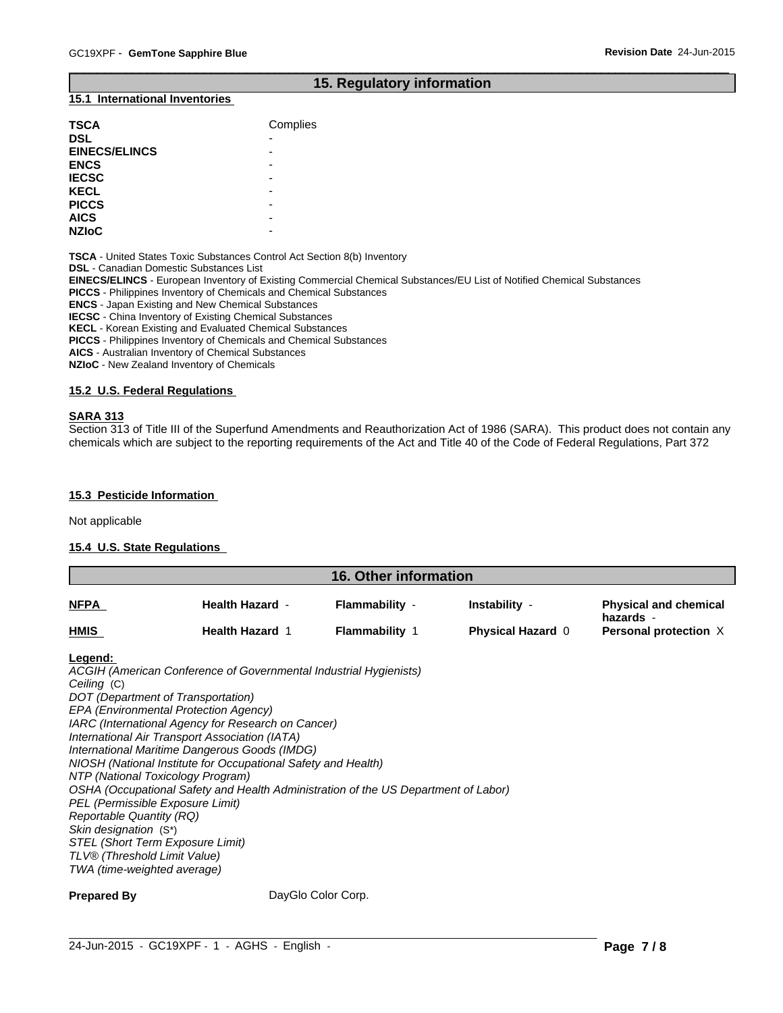### **15. Regulatory information**

 $\overline{\phantom{a}}$  ,  $\overline{\phantom{a}}$  ,  $\overline{\phantom{a}}$  ,  $\overline{\phantom{a}}$  ,  $\overline{\phantom{a}}$  ,  $\overline{\phantom{a}}$  ,  $\overline{\phantom{a}}$  ,  $\overline{\phantom{a}}$  ,  $\overline{\phantom{a}}$  ,  $\overline{\phantom{a}}$  ,  $\overline{\phantom{a}}$  ,  $\overline{\phantom{a}}$  ,  $\overline{\phantom{a}}$  ,  $\overline{\phantom{a}}$  ,  $\overline{\phantom{a}}$  ,  $\overline{\phantom{a}}$ 

#### **15.1 International Inventories**

| <b>TSCA</b>          | Complies                 |
|----------------------|--------------------------|
| <b>DSL</b>           | $\overline{\phantom{0}}$ |
| <b>EINECS/ELINCS</b> | -                        |
| <b>ENCS</b>          | $\overline{\phantom{0}}$ |
| <b>IECSC</b>         | $\overline{\phantom{0}}$ |
| <b>KECL</b>          | -                        |
| <b>PICCS</b>         | -                        |
| <b>AICS</b>          | -                        |
| <b>NZIOC</b>         | -                        |

**TSCA** - United States Toxic Substances Control Act Section 8(b) Inventory

**DSL** - Canadian Domestic Substances List

**EINECS/ELINCS** - European Inventory of Existing Commercial Chemical Substances/EU List of Notified Chemical Substances

**PICCS** - Philippines Inventory of Chemicals and Chemical Substances

**ENCS** - Japan Existing and New Chemical Substances

**IECSC** - China Inventory of Existing Chemical Substances

**KECL** - Korean Existing and Evaluated Chemical Substances

**PICCS** - Philippines Inventory of Chemicals and Chemical Substances

**AICS** - Australian Inventory of Chemical Substances

**NZIoC** - New Zealand Inventory of Chemicals

#### **15.2 U.S. Federal Regulations**

#### **SARA 313**

Section 313 of Title III of the Superfund Amendments and Reauthorization Act of 1986 (SARA). This product does not contain any chemicals which are subject to the reporting requirements of the Act and Title 40 of the Code of Federal Regulations, Part 372

#### **15.3 Pesticide Information**

Not applicable

#### **15.4 U.S. State Regulations**

| <b>16. Other information</b> |                        |                       |                          |                                           |
|------------------------------|------------------------|-----------------------|--------------------------|-------------------------------------------|
| <b>NFPA</b>                  | <b>Health Hazard -</b> | Flammability -        | Instability -            | <b>Physical and chemical</b><br>hazards - |
| <b>HMIS</b>                  | <b>Health Hazard 1</b> | <b>Flammability 1</b> | <b>Physical Hazard 0</b> | Personal protection X                     |

**Legend:** 

*ACGIH (American Conference of Governmental Industrial Hygienists) Ceiling* (C) *DOT (Department of Transportation) EPA (Environmental Protection Agency) IARC (International Agency for Research on Cancer) International Air Transport Association (IATA) International Maritime Dangerous Goods (IMDG) NIOSH (National Institute for Occupational Safety and Health) NTP (National Toxicology Program) OSHA (Occupational Safety and Health Administration of the US Department of Labor) PEL (Permissible Exposure Limit) Reportable Quantity (RQ) Skin designation* (S\*) *STEL (Short Term Exposure Limit) TLV® (Threshold Limit Value) TWA (time-weighted average)*

**Prepared By** DayGlo Color Corp.